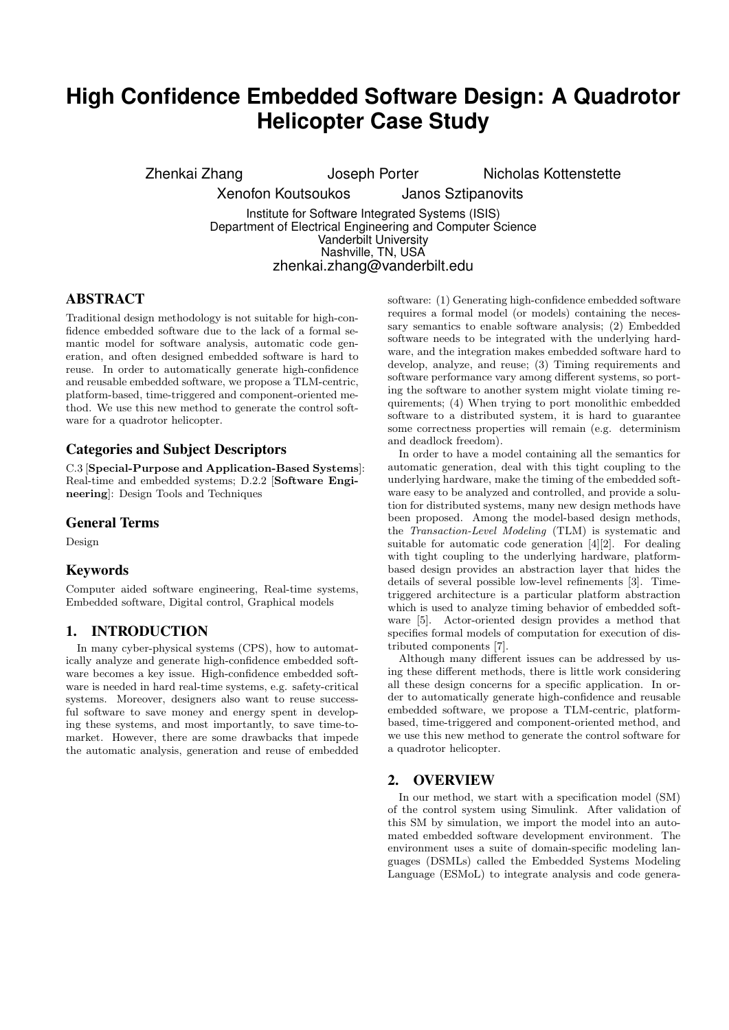# **High Confidence Embedded Software Design: A Quadrotor Helicopter Case Study**

Zhenkai Zhang **Joseph Porter** Nicholas Kottenstette

Xenofon Koutsoukos Janos Sztipanovits

Institute for Software Integrated Systems (ISIS) Department of Electrical Engineering and Computer Science Vanderbilt University Nashville, TN, USA zhenkai.zhang@vanderbilt.edu

# ABSTRACT

Traditional design methodology is not suitable for high-confidence embedded software due to the lack of a formal semantic model for software analysis, automatic code generation, and often designed embedded software is hard to reuse. In order to automatically generate high-confidence and reusable embedded software, we propose a TLM-centric, platform-based, time-triggered and component-oriented method. We use this new method to generate the control software for a quadrotor helicopter.

## Categories and Subject Descriptors

C.3 [Special-Purpose and Application-Based Systems]: Real-time and embedded systems; D.2.2 [Software Engineering]: Design Tools and Techniques

## General Terms

Design

## Keywords

Computer aided software engineering, Real-time systems, Embedded software, Digital control, Graphical models

## 1. INTRODUCTION

In many cyber-physical systems (CPS), how to automatically analyze and generate high-confidence embedded software becomes a key issue. High-confidence embedded software is needed in hard real-time systems, e.g. safety-critical systems. Moreover, designers also want to reuse successful software to save money and energy spent in developing these systems, and most importantly, to save time-tomarket. However, there are some drawbacks that impede the automatic analysis, generation and reuse of embedded software: (1) Generating high-confidence embedded software requires a formal model (or models) containing the necessary semantics to enable software analysis; (2) Embedded software needs to be integrated with the underlying hardware, and the integration makes embedded software hard to develop, analyze, and reuse; (3) Timing requirements and software performance vary among different systems, so porting the software to another system might violate timing requirements; (4) When trying to port monolithic embedded software to a distributed system, it is hard to guarantee some correctness properties will remain (e.g. determinism and deadlock freedom).

In order to have a model containing all the semantics for automatic generation, deal with this tight coupling to the underlying hardware, make the timing of the embedded software easy to be analyzed and controlled, and provide a solution for distributed systems, many new design methods have been proposed. Among the model-based design methods, the Transaction-Level Modeling (TLM) is systematic and suitable for automatic code generation [4][2]. For dealing with tight coupling to the underlying hardware, platformbased design provides an abstraction layer that hides the details of several possible low-level refinements [3]. Timetriggered architecture is a particular platform abstraction which is used to analyze timing behavior of embedded software [5]. Actor-oriented design provides a method that specifies formal models of computation for execution of distributed components [7].

Although many different issues can be addressed by using these different methods, there is little work considering all these design concerns for a specific application. In order to automatically generate high-confidence and reusable embedded software, we propose a TLM-centric, platformbased, time-triggered and component-oriented method, and we use this new method to generate the control software for a quadrotor helicopter.

## 2. OVERVIEW

In our method, we start with a specification model (SM) of the control system using Simulink. After validation of this SM by simulation, we import the model into an automated embedded software development environment. The environment uses a suite of domain-specific modeling languages (DSMLs) called the Embedded Systems Modeling Language (ESMoL) to integrate analysis and code genera-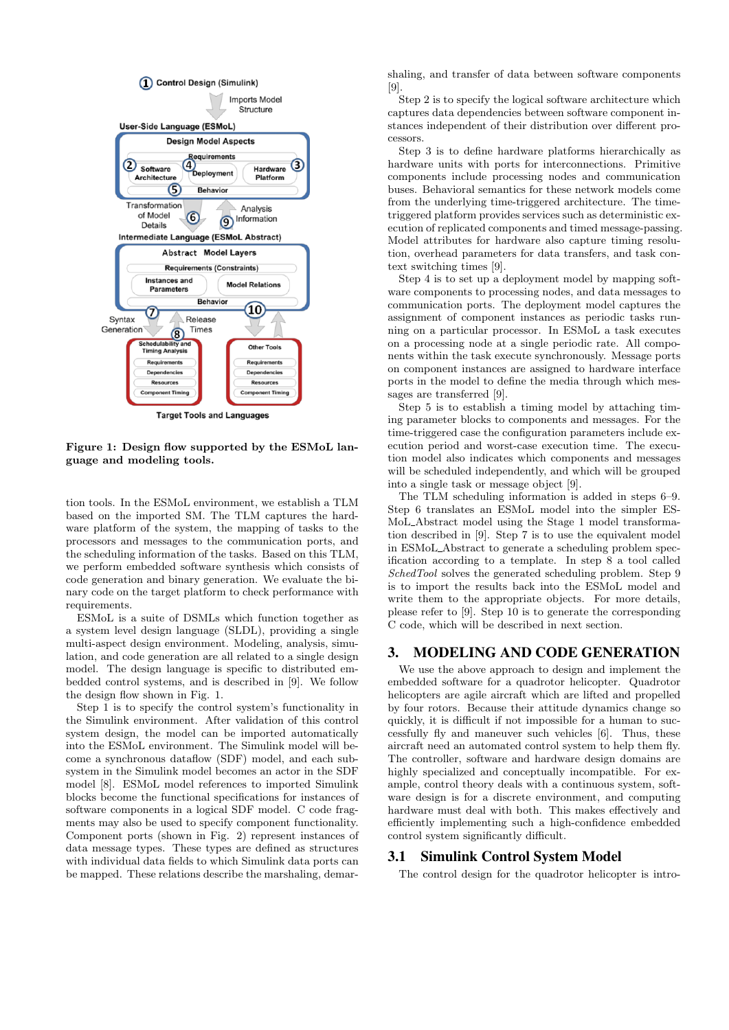

Figure 1: Design flow supported by the ESMoL language and modeling tools.

tion tools. In the ESMoL environment, we establish a TLM based on the imported SM. The TLM captures the hardware platform of the system, the mapping of tasks to the processors and messages to the communication ports, and the scheduling information of the tasks. Based on this TLM, we perform embedded software synthesis which consists of code generation and binary generation. We evaluate the binary code on the target platform to check performance with requirements.

ESMoL is a suite of DSMLs which function together as a system level design language (SLDL), providing a single multi-aspect design environment. Modeling, analysis, simulation, and code generation are all related to a single design model. The design language is specific to distributed embedded control systems, and is described in [9]. We follow the design flow shown in Fig. 1.

Step 1 is to specify the control system's functionality in the Simulink environment. After validation of this control system design, the model can be imported automatically into the ESMoL environment. The Simulink model will become a synchronous dataflow (SDF) model, and each subsystem in the Simulink model becomes an actor in the SDF model [8]. ESMoL model references to imported Simulink blocks become the functional specifications for instances of software components in a logical SDF model. C code fragments may also be used to specify component functionality. Component ports (shown in Fig. 2) represent instances of data message types. These types are defined as structures with individual data fields to which Simulink data ports can be mapped. These relations describe the marshaling, demarshaling, and transfer of data between software components [9].

Step 2 is to specify the logical software architecture which captures data dependencies between software component instances independent of their distribution over different processors.

Step 3 is to define hardware platforms hierarchically as hardware units with ports for interconnections. Primitive components include processing nodes and communication buses. Behavioral semantics for these network models come from the underlying time-triggered architecture. The timetriggered platform provides services such as deterministic execution of replicated components and timed message-passing. Model attributes for hardware also capture timing resolution, overhead parameters for data transfers, and task context switching times [9].

Step 4 is to set up a deployment model by mapping software components to processing nodes, and data messages to communication ports. The deployment model captures the assignment of component instances as periodic tasks running on a particular processor. In ESMoL a task executes on a processing node at a single periodic rate. All components within the task execute synchronously. Message ports on component instances are assigned to hardware interface ports in the model to define the media through which messages are transferred [9].

Step 5 is to establish a timing model by attaching timing parameter blocks to components and messages. For the time-triggered case the configuration parameters include execution period and worst-case execution time. The execution model also indicates which components and messages will be scheduled independently, and which will be grouped into a single task or message object [9].

The TLM scheduling information is added in steps 6–9. Step 6 translates an ESMoL model into the simpler ES-MoL Abstract model using the Stage 1 model transformation described in [9]. Step 7 is to use the equivalent model in ESMoL Abstract to generate a scheduling problem specification according to a template. In step 8 a tool called SchedTool solves the generated scheduling problem. Step 9 is to import the results back into the ESMoL model and write them to the appropriate objects. For more details, please refer to [9]. Step 10 is to generate the corresponding C code, which will be described in next section.

## 3. MODELING AND CODE GENERATION

We use the above approach to design and implement the embedded software for a quadrotor helicopter. Quadrotor helicopters are agile aircraft which are lifted and propelled by four rotors. Because their attitude dynamics change so quickly, it is difficult if not impossible for a human to successfully fly and maneuver such vehicles [6]. Thus, these aircraft need an automated control system to help them fly. The controller, software and hardware design domains are highly specialized and conceptually incompatible. For example, control theory deals with a continuous system, software design is for a discrete environment, and computing hardware must deal with both. This makes effectively and efficiently implementing such a high-confidence embedded control system significantly difficult.

#### 3.1 Simulink Control System Model

The control design for the quadrotor helicopter is intro-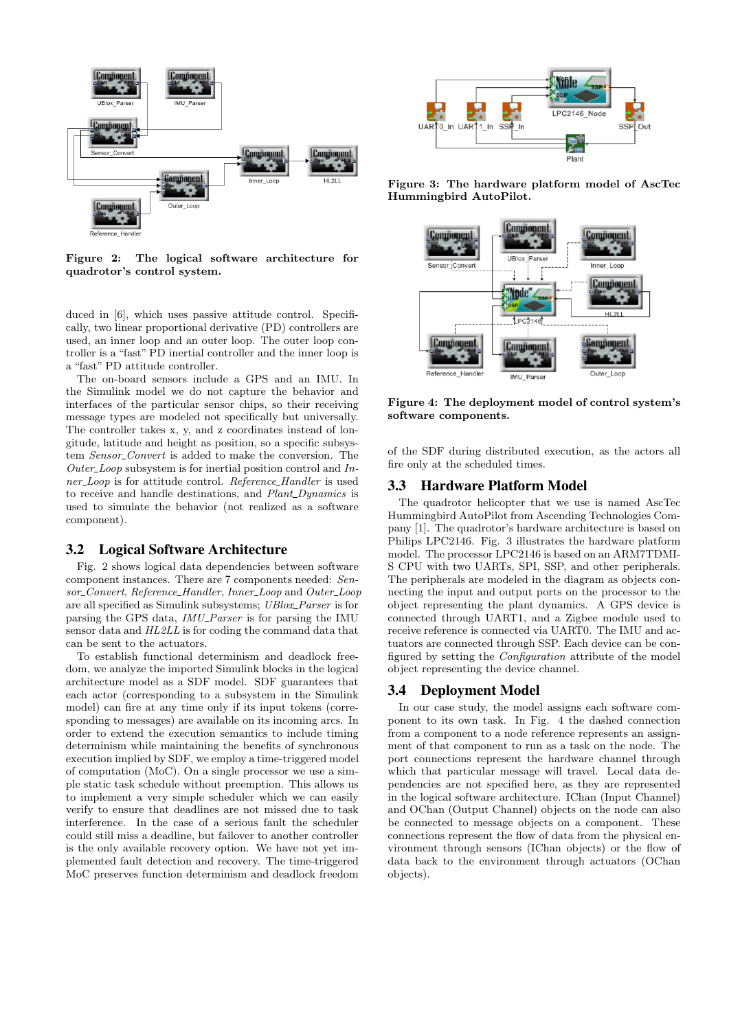

Figure 2: The logical software architecture for quadrotor's control system.

duced in [6], which uses passive attitude control. Specifically, two linear proportional derivative (PD) controllers are used, an inner loop and an outer loop. The outer loop controller is a "fast" PD inertial controller and the inner loop is a "fast" PD attitude controller.

The on-board sensors include a GPS and an IMU. In the Simulink model we do not capture the behavior and interfaces of the particular sensor chips, so their receiving message types are modeled not specifically but universally. The controller takes x, y, and z coordinates instead of longitude, latitude and height as position, so a specific subsystem Sensor\_Convert is added to make the conversion. The  $Outer\_Loop$  subsystem is for inertial position control and Inner\_Loop is for attitude control. Reference\_Handler is used to receive and handle destinations, and *Plant\_Dynamics* is used to simulate the behavior (not realized as a software component).

#### 3.2 Logical Software Architecture

Fig. 2 shows logical data dependencies between software component instances. There are 7 components needed: Sensor\_Convert, Reference\_Handler, Inner\_Loop and Outer\_Loop are all specified as Simulink subsystems; UBlox\_Parser is for parsing the GPS data, *IMU\_Parser* is for parsing the IMU sensor data and HL2LL is for coding the command data that can be sent to the actuators.

To establish functional determinism and deadlock freedom, we analyze the imported Simulink blocks in the logical architecture model as a SDF model. SDF guarantees that each actor (corresponding to a subsystem in the Simulink model) can fire at any time only if its input tokens (corresponding to messages) are available on its incoming arcs. In order to extend the execution semantics to include timing determinism while maintaining the benefits of synchronous execution implied by SDF, we employ a time-triggered model of computation (MoC). On a single processor we use a simple static task schedule without preemption. This allows us to implement a very simple scheduler which we can easily verify to ensure that deadlines are not missed due to task interference. In the case of a serious fault the scheduler could still miss a deadline, but failover to another controller is the only available recovery option. We have not yet implemented fault detection and recovery. The time-triggered MoC preserves function determinism and deadlock freedom



Figure 3: The hardware platform model of AscTec Hummingbird AutoPilot.



Figure 4: The deployment model of control system's software components.

of the SDF during distributed execution, as the actors all fire only at the scheduled times.

## 3.3 Hardware Platform Model

The quadrotor helicopter that we use is named AscTec Hummingbird AutoPilot from Ascending Technologies Company [1]. The quadrotor's hardware architecture is based on Philips LPC2146. Fig. 3 illustrates the hardware platform model. The processor LPC2146 is based on an ARM7TDMI-S CPU with two UARTs, SPI, SSP, and other peripherals. The peripherals are modeled in the diagram as objects connecting the input and output ports on the processor to the object representing the plant dynamics. A GPS device is connected through UART1, and a Zigbee module used to receive reference is connected via UART0. The IMU and actuators are connected through SSP. Each device can be configured by setting the Configuration attribute of the model object representing the device channel.

## 3.4 Deployment Model

In our case study, the model assigns each software component to its own task. In Fig. 4 the dashed connection from a component to a node reference represents an assignment of that component to run as a task on the node. The port connections represent the hardware channel through which that particular message will travel. Local data dependencies are not specified here, as they are represented in the logical software architecture. IChan (Input Channel) and OChan (Output Channel) objects on the node can also be connected to message objects on a component. These connections represent the flow of data from the physical environment through sensors (IChan objects) or the flow of data back to the environment through actuators (OChan objects).